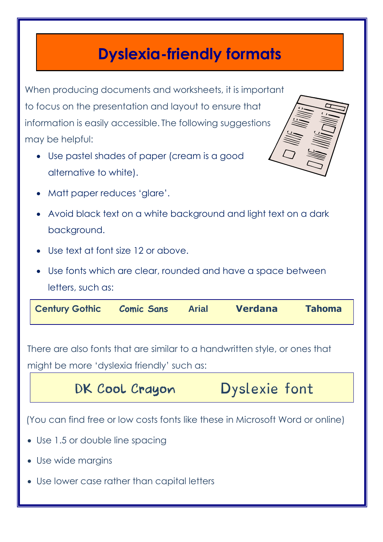## **Dyslexia-friendly formats**

When producing documents and worksheets, it is important to focus on the presentation and layout to ensure that information is easily accessible. The following suggestions may be helpful: Use pastel shades of paper (cream is a good alternative to white).



- Matt paper reduces 'glare'.
- Avoid black text on a white background and light text on a dark background.
- Use text at font size 12 or above.
- Use fonts which are clear, rounded and have a space between letters, such as:

| <b>Century Gothic</b><br><b>Tahoma</b><br>Verdana<br><b>Comic Sans</b><br><b>Arial</b> |
|----------------------------------------------------------------------------------------|
|----------------------------------------------------------------------------------------|

There are also fonts that are similar to a handwritten style, or ones that might be more 'dyslexia friendly' such as:

## DK Cool Crayon Dyslexie font

(You can find free or low costs fonts like these in Microsoft Word or online)

- Use 1.5 or double line spacing
- Use wide margins
- Use lower case rather than capital letters